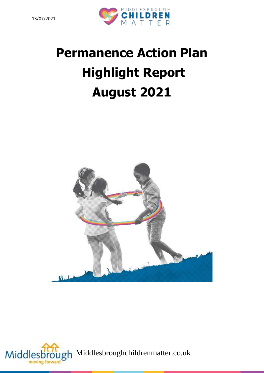

# **Permanence Action Plan Highlight Report August 2021**



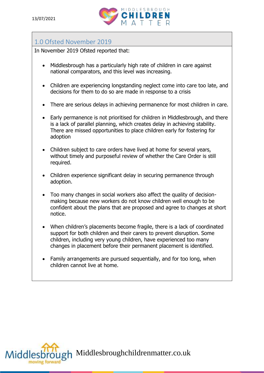

## 1.0 Ofsted November 2019

In November 2019 Ofsted reported that:

- Middlesbrough has a particularly high rate of children in care against national comparators, and this level was increasing.
- Children are experiencing longstanding neglect come into care too late, and decisions for them to do so are made in response to a crisis
- There are serious delays in achieving permanence for most children in care.
- Early permanence is not prioritised for children in Middlesbrough, and there is a lack of parallel planning, which creates delay in achieving stability. There are missed opportunities to place children early for fostering for adoption
- Children subject to care orders have lived at home for several years, without timely and purposeful review of whether the Care Order is still required.
- Children experience significant delay in securing permanence through adoption.
- Too many changes in social workers also affect the quality of decisionmaking because new workers do not know children well enough to be confident about the plans that are proposed and agree to changes at short notice.
- When children's placements become fragile, there is a lack of coordinated support for both children and their carers to prevent disruption. Some children, including very young children, have experienced too many changes in placement before their permanent placement is identified.
- Family arrangements are pursued sequentially, and for too long, when children cannot live at home.



Joh Middlesbroughchildrenmatter.co.uk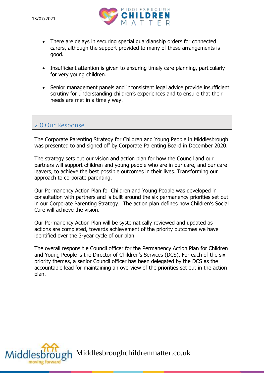

- There are delays in securing special guardianship orders for connected carers, although the support provided to many of these arrangements is good.
- Insufficient attention is given to ensuring timely care planning, particularly for very young children.
- Senior management panels and inconsistent legal advice provide insufficient scrutiny for understanding children's experiences and to ensure that their needs are met in a timely way.

#### 2.0 Our Response

The Corporate Parenting Strategy for Children and Young People in Middlesbrough was presented to and signed off by Corporate Parenting Board in December 2020.

The strategy sets out our vision and action plan for how the Council and our partners will support children and young people who are in our care, and our care leavers, to achieve the best possible outcomes in their lives. Transforming our approach to corporate parenting.

Our Permanency Action Plan for Children and Young People was developed in consultation with partners and is built around the six permanency priorities set out in our Corporate Parenting Strategy. The action plan defines how Children's Social Care will achieve the vision.

Our Permanency Action Plan will be systematically reviewed and updated as actions are completed, towards achievement of the priority outcomes we have identified over the 3-year cycle of our plan.

The overall responsible Council officer for the Permanency Action Plan for Children and Young People is the Director of Children's Services (DCS). For each of the six priority themes, a senior Council officer has been delegated by the DCS as the accountable lead for maintaining an overview of the priorities set out in the action plan.



Middlesbrough Middlesbroughchildrenmatter.co.uk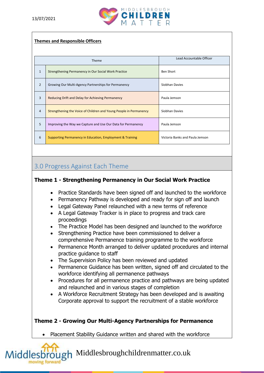

#### **Themes and Responsible Officers**

| Theme          |                                                                    | Lead Accountable Officer        |
|----------------|--------------------------------------------------------------------|---------------------------------|
| $\mathbf{1}$   | Strengthening Permanency in Our Social Work Practice               | <b>Ben Short</b>                |
| $\overline{2}$ | Growing Our Multi-Agency Partnerships for Permanency               | Siobhan Davies                  |
| 3              | Reducing Drift and Delay for Achieving Permanency                  | Paula Jemson                    |
| $\overline{4}$ | Strengthening the Voice of Children and Young People in Permanency | Siobhan Davies                  |
| 5              | Improving the Way we Capture and Use Our Data for Permanency       | Paula Jemson                    |
| 6              | Supporting Permanency in Education, Employment & Training          | Victoria Banks and Paula Jemson |

## 3.0 Progress Against Each Theme

#### **Theme 1 - Strengthening Permanency in Our Social Work Practice**

- Practice Standards have been signed off and launched to the workforce
- Permanency Pathway is developed and ready for sign off and launch
- Legal Gateway Panel relaunched with a new terms of reference
- A Legal Gateway Tracker is in place to progress and track care proceedings
- The Practice Model has been designed and launched to the workforce
- Strengthening Practice have been commissioned to deliver a comprehensive Permanence training programme to the workforce
- Permanence Month arranged to deliver updated procedures and internal practice guidance to staff
- The Supervision Policy has been reviewed and updated
- Permanence Guidance has been written, signed off and circulated to the workforce identifying all permanence pathways
- Procedures for all permanence practice and pathways are being updated and relaunched and in various stages of completion
- A Workforce Recruitment Strategy has been developed and is awaiting Corporate approval to support the recruitment of a stable workforce

#### **Theme 2 - Growing Our Multi-Agency Partnerships for Permanence**

• Placement Stability Guidance written and shared with the workforce

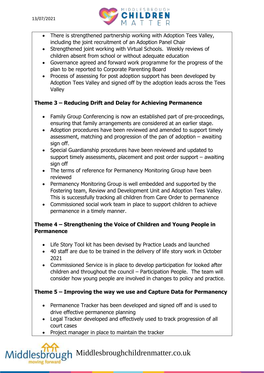

- There is strengthened partnership working with Adoption Tees Valley, including the joint recruitment of an Adoption Panel Chair
- Strengthened joint working with Virtual Schools. Weekly reviews of children absent from school or without adequate education
- Governance agreed and forward work programme for the progress of the plan to be reported to Corporate Parenting Board
- Process of assessing for post adoption support has been developed by Adoption Tees Valley and signed off by the adoption leads across the Tees Valley

#### **Theme 3 – Reducing Drift and Delay for Achieving Permanence**

- Family Group Conferencing is now an established part of pre-proceedings, ensuring that family arrangements are considered at an earlier stage.
- Adoption procedures have been reviewed and amended to support timely assessment, matching and progression of the pan of adoption – awaiting sign off.
- Special Guardianship procedures have been reviewed and updated to support timely assessments, placement and post order support – awaiting sign off
- The terms of reference for Permanency Monitoring Group have been reviewed
- Permanency Monitoring Group is well embedded and supported by the Fostering team, Review and Development Unit and Adoption Tees Valley. This is successfully tracking all children from Care Order to permanence
- Commissioned social work team in place to support children to achieve permanence in a timely manner.

#### **Theme 4 – Strengthening the Voice of Children and Young People in Permanence**

- Life Story Tool kit has been devised by Practice Leads and launched
- 40 staff are due to be trained in the delivery of life story work in October 2021
- Commissioned Service is in place to develop participation for looked after children and throughout the council – Participation People. The team will consider how young people are involved in changes to policy and practice.

## **Theme 5 – Improving the way we use and Capture Data for Permanency**

- Permanence Tracker has been developed and signed off and is used to drive effective permanence planning
- Legal Tracker developed and effectively used to track progression of all court cases
- Project manager in place to maintain the tracker

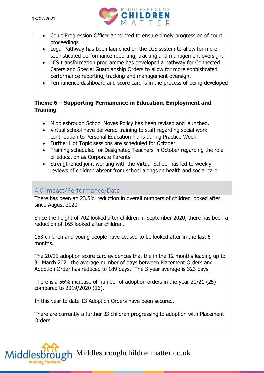

- Court Progression Officer appointed to ensure timely progression of court proceedings
- Legal Pathway has been launched on the LCS system to allow for more sophisticated performance reporting, tracking and management oversight
- LCS transformation programme has developed a pathway for Connected Carers and Special Guardianship Orders to allow for more sophisticated performance reporting, tracking and management oversight
- Permanence dashboard and score card is in the process of being developed

#### **Theme 6 – Supporting Permanence in Education, Employment and Training**

- Middlesbrough School Moves Policy has been revised and launched.
- Virtual school have delivered training to staff regarding social work contribution to Personal Education Plans during Practice Week.
- Further Hot Topic sessions are scheduled for October.
- Training scheduled for Designated Teachers in October regarding the role of education as Corporate Parents.
- Strengthened joint working with the Virtual School has led to weekly reviews of children absent from school alongside health and social care.

## 4.0 Impact/Performance/Data

There has been an 23.5% reduction in overall numbers of children looked after since August 2020

Since the height of 702 looked after children in September 2020, there has been a reduction of 165 looked after children.

163 children and young people have ceased to be looked after in the last 6 months.

The 20/21 adoption score card evidences that the in the 12 months leading up to 31 March 2021 the average number of days between Placement Orders and Adoption Order has reduced to 189 days. The 3 year average is 323 days.

There is a 56% increase of number of adoption orders in the year 20/21 (25) compared to 2019/2020 (16).

In this year to date 13 Adoption Orders have been secured.

There are currently a further 33 children progressing to adoption with Placement **Orders** 

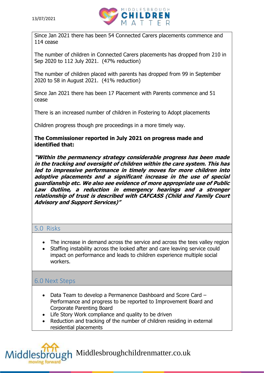

Since Jan 2021 there has been 54 Connected Carers placements commence and 114 cease

The number of children in Connected Carers placements has dropped from 210 in Sep 2020 to 112 July 2021. (47% reduction)

The number of children placed with parents has dropped from 99 in September 2020 to 58 in August 2021. (41% reduction)

Since Jan 2021 there has been 17 Placement with Parents commence and 51 cease

There is an increased number of children in Fostering to Adopt placements

Children progress though pre proceedings in a more timely way.

#### **The Commissioner reported in July 2021 on progress made and identified that:**

**"Within the permanency strategy considerable progress has been made in the tracking and oversight of children within the care system. This has led to impressive performance in timely moves for more children into adoptive placements and a significant increase in the use of special guardianship etc. We also see evidence of more appropriate use of Public Law Outline, a reduction in emergency hearings and a stronger relationship of trust is described with CAFCASS (Child and Family Court Advisory and Support Services)"**

### 5.0 Risks

- The increase in demand across the service and across the tees valley region
- Staffing instability across the looked after and care leaving service could impact on performance and leads to children experience multiple social workers.

## 6.0 Next Steps

- Data Team to develop a Permanence Dashboard and Score Card Performance and progress to be reported to Improvement Board and Corporate Parenting Board
- Life Story Work compliance and quality to be driven
- Reduction and tracking of the number of children residing in external residential placements